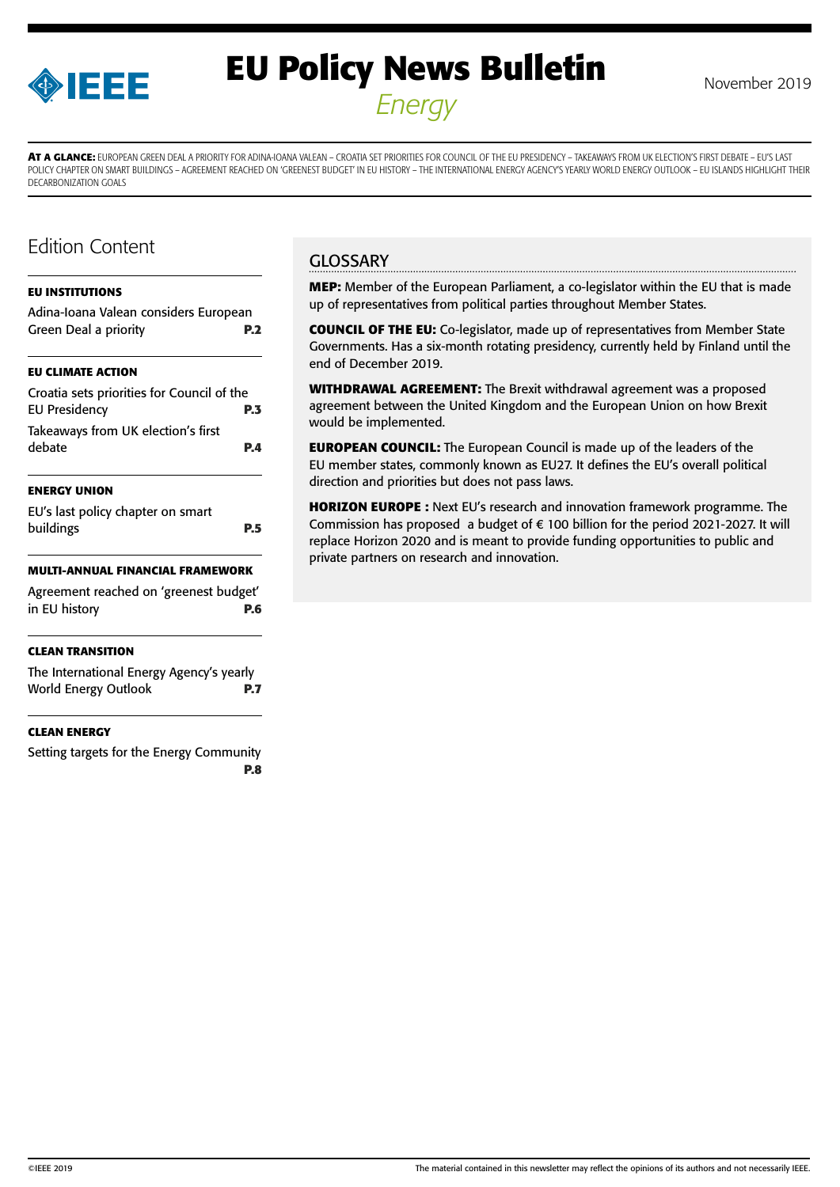

# **EU Policy News Bulletin** November 2019 *Energy*

**AT A GLANCE:** EUROPEAN GREEN DEAL A PRIORITY FOR ADINA-IOANA VALEAN – CROATIA SET PRIORITIES FOR COUNCIL OF THE EU PRESIDENCY – TAKEAWAYS FROM UK ELECTION'S FIRST DEBATE – EU'S LAST POLICY CHAPTER ON SMART BUILDINGS – AGREEMENT REACHED ON 'GREENEST BUDGET' IN EU HISTORY – THE INTERNATIONAL ENERGY AGENCY'S YEARLY WORLD ENERGY OUTLOOK – EU ISLANDS HIGHLIGHT THEIR DECARBONIZATION GOALS

# Edition Content

### **[EU INSTITUTIONS](#page-1-0)**

| Adina-Ioana Valean considers European<br>Green Deal a priority     | <b>P.2</b> |
|--------------------------------------------------------------------|------------|
| EU CLIMATE ACTION                                                  |            |
| Croatia sets priorities for Council of the<br><b>EU Presidency</b> | P.3        |
| Takeaways from UK election's first<br>debate                       | PД         |
| <b>ENERGY UNION</b>                                                |            |
| EU's last policy chapter on smart<br>buildings                     | P.5        |
| MULTI-ANNUAL FINANCIAL FRAMEWORK                                   |            |
| Agreement reached on 'greenest budget'<br>in EU history            | P.6        |

### **[CLEAN TRANSITION](#page-6-0)**

[The International Energy Agency's yearly](#page-6-0)  [World Energy Outlook](#page-6-0) **P.7**

### **[CLEAN ENERGY](#page-7-0)**

[Setting targets for the Energy Community](#page-7-0) **[P.8](#page-7-0)**

# **GLOSSARY**

**MEP:** Member of the European Parliament, a co-legislator within the EU that is made up of representatives from political parties throughout Member States.

**COUNCIL OF THE EU:** Co-legislator, made up of representatives from Member State Governments. Has a six-month rotating presidency, currently held by Finland until the end of December 2019.

**WITHDRAWAL AGREEMENT:** The Brexit withdrawal agreement was a proposed agreement between the United Kingdom and the European Union on how Brexit would be implemented.

**EUROPEAN COUNCIL:** The European Council is made up of the leaders of the EU member states, commonly known as EU27. It defines the EU's overall political direction and priorities but does not pass laws.

**HORIZON EUROPE :** Next EU's research and innovation framework programme. The Commission has proposed a budget of € 100 billion for the period 2021-2027. It will replace Horizon 2020 and is meant to provide funding opportunities to public and private partners on research and innovation.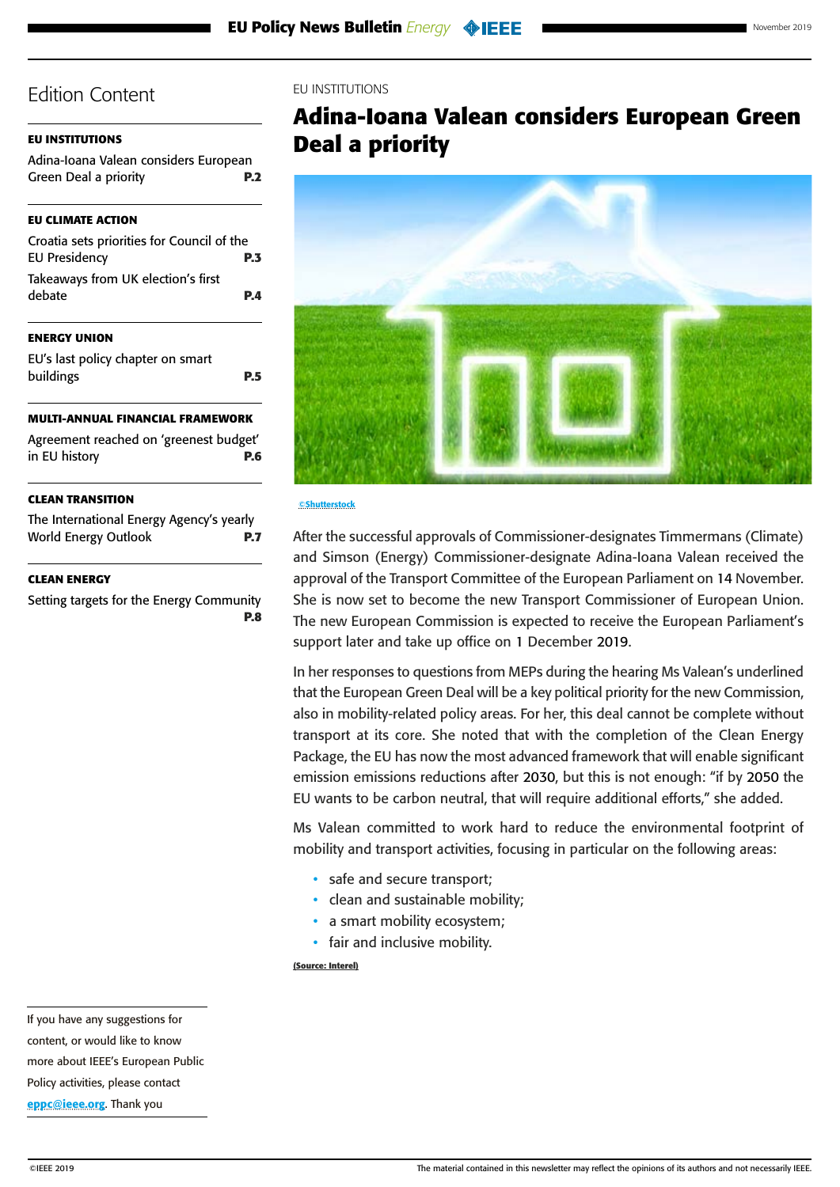## <span id="page-1-0"></span>**EU INSTITUTIONS**

| Adina-Ioana Valean considers European |            |
|---------------------------------------|------------|
| <b>Green Deal a priority</b>          | <b>P.2</b> |

## **[EU CLIMATE ACTION](#page-2-0)**

| Croatia sets priorities for Council of the |            |
|--------------------------------------------|------------|
| <b>EU Presidency</b>                       | <b>P.3</b> |
| Takeaways from UK election's first         |            |
| debate                                     | P.A        |
|                                            |            |

## **[ENERGY UNION](#page-4-0)**

[EU's last policy chapter on smart](#page-4-0)  [buildings](#page-4-0) **P.5**

## **[MULTI-ANNUAL FINANCIAL FRAMEWORK](#page-5-0)**

| Agreement reached on 'greenest budget' |            |
|----------------------------------------|------------|
| in EU history                          | <b>P.6</b> |

### **[CLEAN TRANSITION](#page-6-0)**

[The International Energy Agency's yearly](#page-6-0)  [World Energy Outlook](#page-6-0) **P.7**

## **[CLEAN ENERGY](#page-7-0)**

[Setting targets for the Energy Community](#page-7-0) **[P.8](#page-7-0)**

## EU INSTITUTIONS

# **Adina-Ioana Valean considers European Green Deal a priority**



#### **©Shutterstock**

After the successful approvals of Commissioner-designates Timmermans (Climate) and Simson (Energy) Commissioner-designate Adina-Ioana Valean received the approval of the Transport Committee of the European Parliament on 14 November. She is now set to become the new Transport Commissioner of European Union. The new European Commission is expected to receive the European Parliament's support later and take up office on 1 December 2019.

In her responses to questions from MEPs during the hearing Ms Valean's underlined that the European Green Deal will be a key political priority for the new Commission, also in mobility-related policy areas. For her, this deal cannot be complete without transport at its core. She noted that with the completion of the Clean Energy Package, the EU has now the most advanced framework that will enable significant emission emissions reductions after 2030, but this is not enough: "if by 2050 the EU wants to be carbon neutral, that will require additional efforts," she added.

Ms Valean committed to work hard to reduce the environmental footprint of mobility and transport activities, focusing in particular on the following areas:

- safe and secure transport;
- clean and sustainable mobility;
- a smart mobility ecosystem:
- fair and inclusive mobility.

**(Source: Interel)**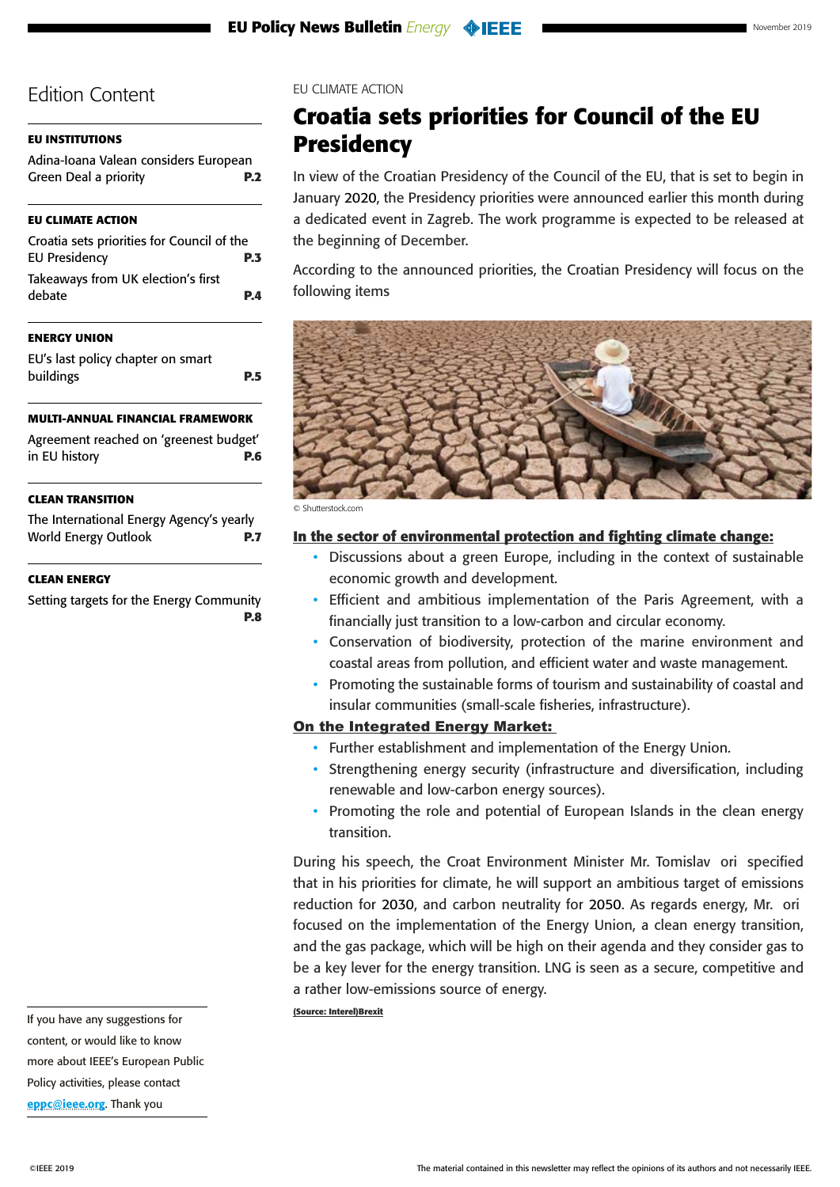# <span id="page-2-0"></span>**[EU INSTITUTIONS](#page-1-0)**

| Adina-Ioana Valean considers European |            |
|---------------------------------------|------------|
| <b>Green Deal a priority</b>          | <b>P.2</b> |

# **EU CLIMATE ACTION**

| Croatia sets priorities for Council of the |            |
|--------------------------------------------|------------|
| <b>EU Presidency</b>                       | <b>P.3</b> |
| Takeaways from UK election's first         |            |
| debate                                     | P.A        |

## **[ENERGY UNION](#page-4-0)**

[EU's last policy chapter on smart](#page-4-0)  [buildings](#page-4-0) **P.5**

# **[MULTI-ANNUAL FINANCIAL FRAMEWORK](#page-5-0)**

| Agreement reached on 'greenest budget' |            |
|----------------------------------------|------------|
| in EU history                          | <b>P.6</b> |

## **[CLEAN TRANSITION](#page-6-0)**

[The International Energy Agency's yearly](#page-6-0)  [World Energy Outlook](#page-6-0) **P.7**

### **[CLEAN ENERGY](#page-7-0)**

[Setting targets for the Energy Community](#page-7-0) **[P.8](#page-7-0)** EU CLIMATE ACTION

# **Croatia sets priorities for Council of the EU Presidency**

In view of the Croatian Presidency of the Council of the EU, that is set to begin in January 2020, the Presidency priorities were announced earlier this month during a dedicated event in Zagreb. The work programme is expected to be released at the beginning of December.

According to the announced priorities, the Croatian Presidency will focus on the following items



© Shutterstock.com

## **In the sector of environmental protection and fighting climate change:**

- Discussions about a green Europe, including in the context of sustainable economic growth and development.
- Efficient and ambitious implementation of the Paris Agreement, with a financially just transition to a low-carbon and circular economy.
- Conservation of biodiversity, protection of the marine environment and coastal areas from pollution, and efficient water and waste management.
- Promoting the sustainable forms of tourism and sustainability of coastal and insular communities (small-scale fisheries, infrastructure).

# On the Integrated Energy Market:

- Further establishment and implementation of the Energy Union.
- Strengthening energy security (infrastructure and diversification, including renewable and low-carbon energy sources).
- Promoting the role and potential of European Islands in the clean energy transition.

During his speech, the Croat Environment Minister Mr. Tomislav ori specified that in his priorities for climate, he will support an ambitious target of emissions reduction for 2030, and carbon neutrality for 2050. As regards energy, Mr. ori focused on the implementation of the Energy Union, a clean energy transition, and the gas package, which will be high on their agenda and they consider gas to be a key lever for the energy transition. LNG is seen as a secure, competitive and a rather low-emissions source of energy.

#### **(Source: Interel)Brexit**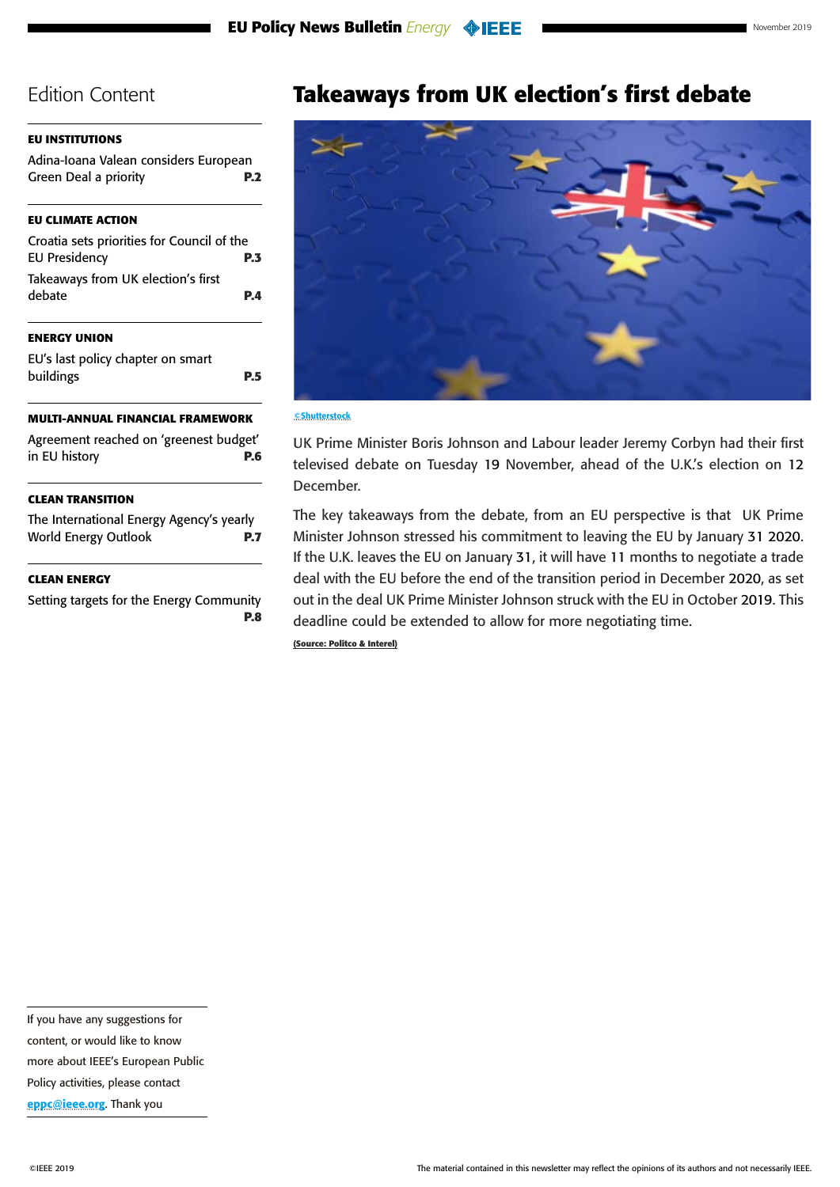## <span id="page-3-0"></span>**[EU INSTITUTIONS](#page-1-0)**

[Adina-Ioana Valean considers European](#page-1-0)  [Green Deal a priority](#page-1-0) **P.2**

## **[EU CLIMATE ACTION](#page-2-0)**

| <b>ENERGY UNION</b>                                                |            |
|--------------------------------------------------------------------|------------|
| Takeaways from UK election's first<br>debate                       | <b>P.4</b> |
| Croatia sets priorities for Council of the<br><b>EU Presidency</b> | <b>P.3</b> |
|                                                                    |            |

[EU's last policy chapter on smart](#page-4-0)  [buildings](#page-4-0) **P.5**

## **[MULTI-ANNUAL FINANCIAL FRAMEWORK](#page-5-0)**

[Agreement reached on 'greenest budget'](#page-5-0)  [in EU history](#page-5-0) **P.6**

### **[CLEAN TRANSITION](#page-6-0)**

[The International Energy Agency's yearly](#page-6-0)  [World Energy Outlook](#page-6-0) **P.7**

### **[CLEAN ENERGY](#page-7-0)**

[Setting targets for the Energy Community](#page-7-0) **[P.8](#page-7-0)**

# **Takeaways from UK election's first debate**



#### ©Shutterstock

UK Prime Minister Boris Johnson and Labour leader Jeremy Corbyn had their first televised debate on Tuesday 19 November, ahead of the U.K.'s election on 12 December.

The key takeaways from the debate, from an EU perspective is that UK Prime Minister Johnson stressed his commitment to leaving the EU by January 31 2020. If the U.K. leaves the EU on January 31, it will have 11 months to negotiate a trade deal with the EU before the end of the transition period in December 2020, as set out in the deal UK Prime Minister Johnson struck with the EU in October 2019. This deadline could be extended to allow for more negotiating time.

**(Source: Politco & Interel)**

If you have any suggestions for content, or would like to know more about IEEE's European Public

Policy activities, please contact [eppc@ieee.org](mailto:eppc%40ieee.org?subject=). Thank you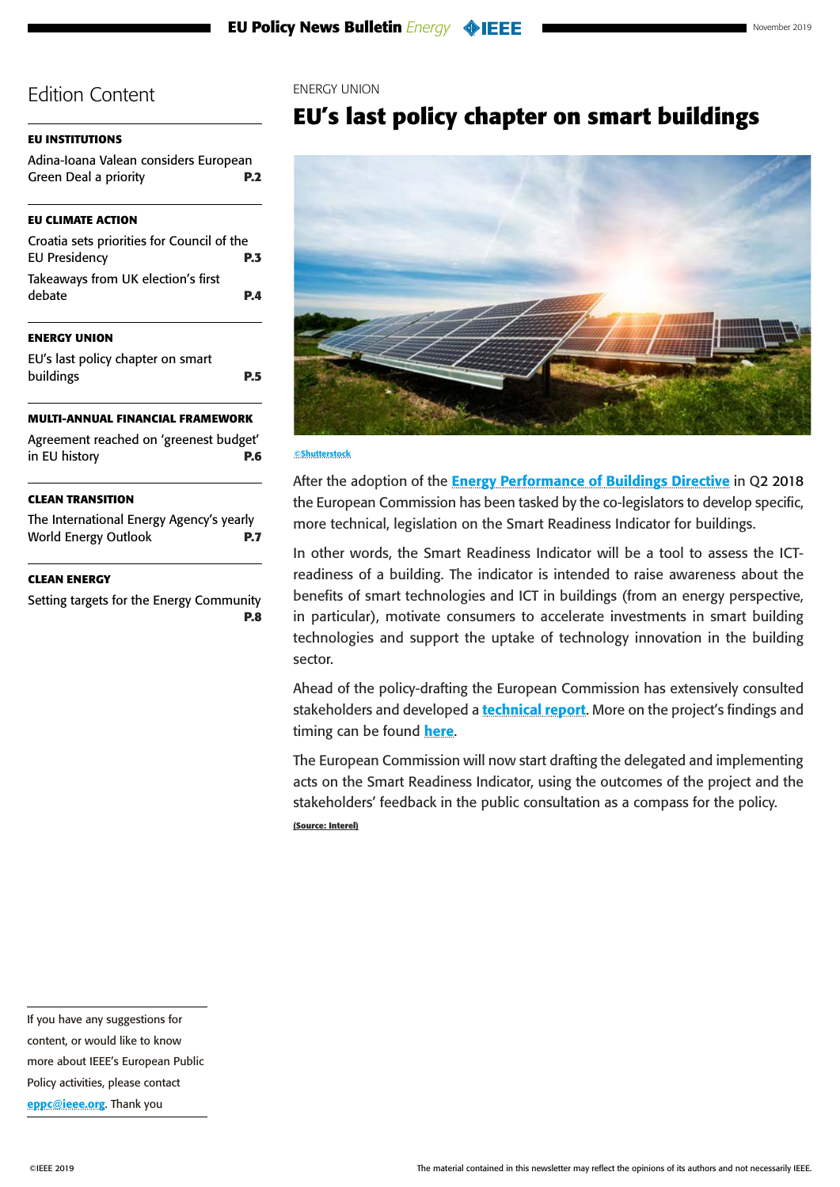#### <span id="page-4-0"></span>**[EU INSTITUTIONS](#page-1-0)**

[Adina-Ioana Valean considers European](#page-1-0)  [Green Deal a priority](#page-1-0) **P.2**

#### **[EU CLIMATE ACTION](#page-2-0)**

| Croatia sets priorities for Council of the   |            |
|----------------------------------------------|------------|
| <b>EU Presidency</b>                         | <b>P.3</b> |
| Takeaways from UK election's first<br>debate | P.A        |

### **ENERGY UNION**

EU's last policy chapter on smart buildings **P.5**

#### **[MULTI-ANNUAL FINANCIAL FRAMEWORK](#page-5-0)**

| Agreement reached on 'greenest budget' |            |
|----------------------------------------|------------|
| in EU history                          | <b>P.6</b> |

#### **[CLEAN TRANSITION](#page-6-0)**

[The International Energy Agency's yearly](#page-6-0)  [World Energy Outlook](#page-6-0) **P.7**

#### **[CLEAN ENERGY](#page-7-0)**

[Setting targets for the Energy Community](#page-7-0) **[P.8](#page-7-0)**

#### ENERGY UNION

# **EU's last policy chapter on smart buildings**



#### ©Shutterstock

After the adoption of the **[Energy Performance of Buildings Directive](https://eur-lex.europa.eu/legal-content/EN/TXT/PDF/?uri=CELEX:32018L0844&from=EN)** in Q2 2018 the European Commission has been tasked by the co-legislators to develop specific, more technical, legislation on the Smart Readiness Indicator for buildings.

In other words, the Smart Readiness Indicator will be a tool to assess the ICTreadiness of a building. The indicator is intended to raise awareness about the benefits of smart technologies and ICT in buildings (from an energy perspective, in particular), motivate consumers to accelerate investments in smart building technologies and support the uptake of technology innovation in the building sector.

Ahead of the policy-drafting the European Commission has extensively consulted stakeholders and developed a **[technical report](https://smartreadinessindicator.eu/sites/smartreadinessindicator.eu/files/sri_1st_technical_study_-_final_report.pdf)**. More on the project's findings and timing can be found **[here](https://smartreadinessindicator.eu/sites/smartreadinessindicator.eu/files/presentation_sri2_stakeholdermeeting_2_-_2019-10-09.pdf)**.

The European Commission will now start drafting the delegated and implementing acts on the Smart Readiness Indicator, using the outcomes of the project and the stakeholders' feedback in the public consultation as a compass for the policy. **(Source: Interel)**

more about IEEE's European Public

If you have any suggestions for content, or would like to know

Policy activities, please contact [eppc@ieee.org](mailto:eppc%40ieee.org?subject=). Thank you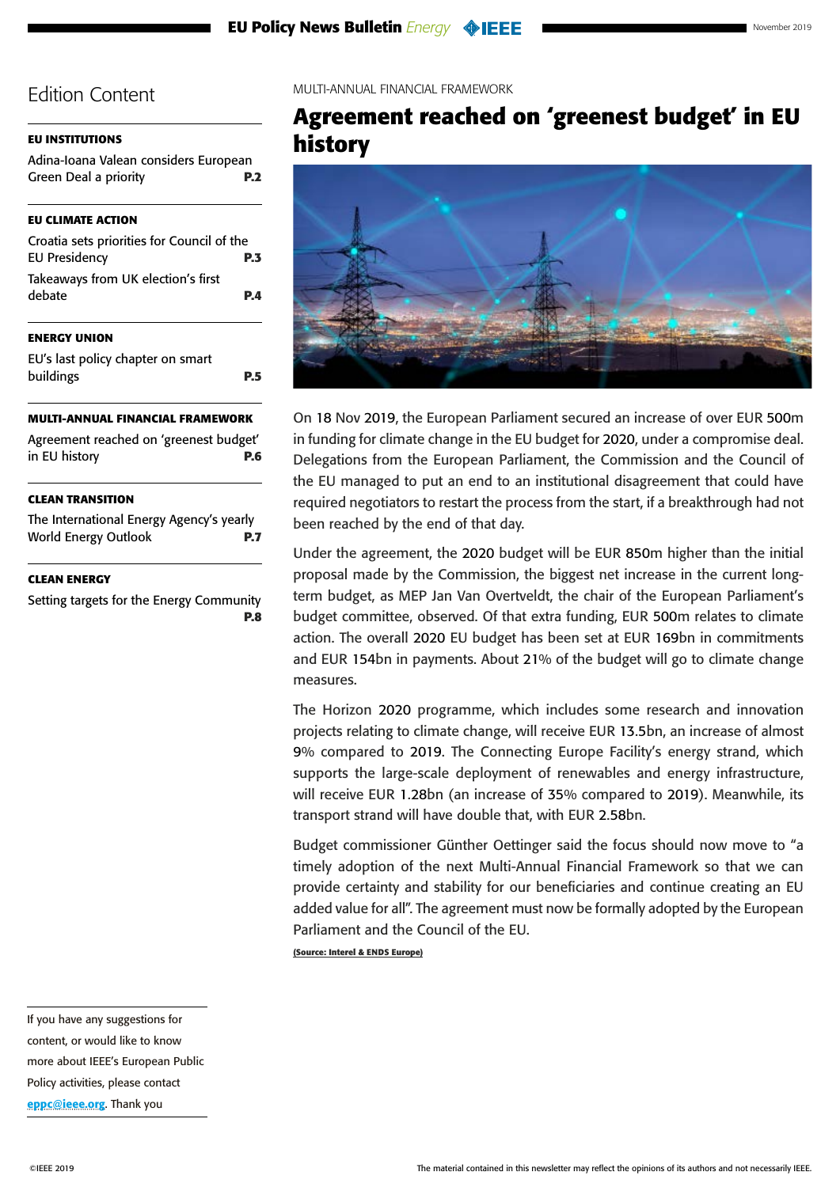# <span id="page-5-0"></span>**[EU INSTITUTIONS](#page-1-0)**

| Adina-Ioana Valean considers European |            |
|---------------------------------------|------------|
| Green Deal a priority                 | <b>P.2</b> |

# **[EU CLIMATE ACTION](#page-2-0)**

| Croatia sets priorities for Council of the   |            |
|----------------------------------------------|------------|
| <b>EU Presidency</b>                         | P.3        |
| Takeaways from UK election's first<br>debate | <b>P.4</b> |
|                                              |            |

# **[ENERGY UNION](#page-4-0)**

| EU's last policy chapter on smart |            |
|-----------------------------------|------------|
| buildings                         | <b>P.5</b> |

## **MULTI-ANNUAL FINANCIAL FRAMEWORK**

| Agreement reached on 'greenest budget' |            |
|----------------------------------------|------------|
| in EU history                          | <b>P.6</b> |

## **[CLEAN TRANSITION](#page-6-0)**

[The International Energy Agency's yearly](#page-6-0)  [World Energy Outlook](#page-6-0) **P.7**

#### **[CLEAN ENERGY](#page-7-0)**

[Setting targets for the Energy Community](#page-7-0) **[P.8](#page-7-0)** MULTI-ANNUAL FINANCIAL FRAMEWORK

# **[Agreement reached on 'greenest budget' in EU](http://links.haymarket.mkt6316.com/ctt?kn=3&ms=MjI0NDg3ODcS1&r=MzE2OTQ2NjA5NjU5S0&b=0&j=MTYyMTIyMjU0NgS2&mt=1&rt=0)  [history](http://links.haymarket.mkt6316.com/ctt?kn=3&ms=MjI0NDg3ODcS1&r=MzE2OTQ2NjA5NjU5S0&b=0&j=MTYyMTIyMjU0NgS2&mt=1&rt=0)**



On 18 Nov 2019, the European Parliament secured an increase of over EUR 500m in funding for climate change in the EU budget for 2020, under a compromise deal. Delegations from the European Parliament, the Commission and the Council of the EU managed to put an end to an institutional disagreement that could have required negotiators to restart the process from the start, if a breakthrough had not been reached by the end of that day.

Under the agreement, the 2020 budget will be EUR 850m higher than the initial proposal made by the Commission, the biggest net increase in the current longterm budget, as MEP Jan Van Overtveldt, the chair of the European Parliament's budget committee, observed. Of that extra funding, EUR 500m relates to climate action. The overall 2020 EU budget has been set at EUR 169bn in commitments and EUR 154bn in payments. About 21% of the budget will go to climate change measures.

The Horizon 2020 programme, which includes some research and innovation projects relating to climate change, will receive EUR 13.5bn, an increase of almost 9% compared to 2019. The Connecting Europe Facility's energy strand, which supports the large-scale deployment of renewables and energy infrastructure, will receive EUR 1.28bn (an increase of 35% compared to 2019). Meanwhile, its transport strand will have double that, with EUR 2.58bn.

Budget commissioner Günther Oettinger said the focus should now move to "a timely adoption of the next Multi-Annual Financial Framework so that we can provide certainty and stability for our beneficiaries and continue creating an EU added value for all". The agreement must now be formally adopted by the European Parliament and the Council of the EU.

**(Source: Interel & ENDS Europe)**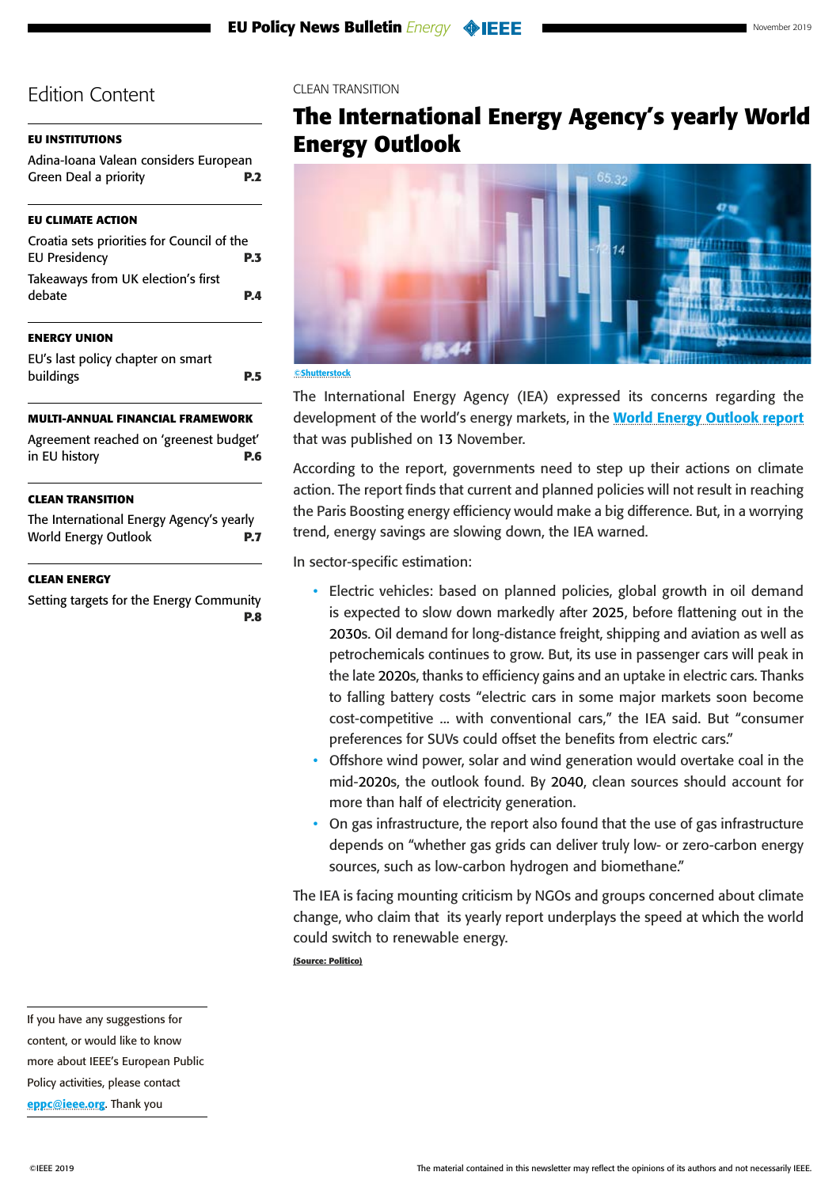## <span id="page-6-0"></span>**[EU INSTITUTIONS](#page-1-0)**

| Adina-Ioana Valean considers European |            |
|---------------------------------------|------------|
| <b>Green Deal a priority</b>          | <b>P.2</b> |

## **[EU CLIMATE ACTION](#page-2-0)**

| Croatia sets priorities for Council of the   |            |
|----------------------------------------------|------------|
| <b>EU Presidency</b>                         | <b>P.3</b> |
| Takeaways from UK election's first<br>debate | <b>P.4</b> |
|                                              |            |

### **[ENERGY UNION](#page-4-0)**

| EU's last policy chapter on smart |            |
|-----------------------------------|------------|
| buildings                         | <b>P.5</b> |

## **[MULTI-ANNUAL FINANCIAL FRAMEWORK](#page-5-0)**

| Agreement reached on 'greenest budget' |            |
|----------------------------------------|------------|
| in EU history                          | <b>P.6</b> |

### **CLEAN TRANSITION**

The International Energy Agency's yearly World Energy Outlook **P.7**

### **[CLEAN ENERGY](#page-7-0)**

[Setting targets for the Energy Community](#page-7-0) **[P.8](#page-7-0)** CLEAN TRANSITION

# **The International Energy Agency's yearly World Energy Outlook**



#### ©Shutterstock

The International Energy Agency (IEA) expressed its concerns regarding the development of the world's energy markets, in the **[World Energy Outlook report](https://politico.us8.list-manage.com/track/click?u=e26c1a1c392386a968d02fdbc&id=5f402eb39c&e=f7ef5fb14a)** that was published on 13 November.

According to the report, governments need to step up their actions on climate action. The report finds that current and planned policies will not result in reaching the Paris Boosting energy efficiency would make a big difference. But, in a worrying trend, energy savings are slowing down, the IEA warned.

In sector-specific estimation:

- Electric vehicles: based on planned policies, global growth in oil demand is expected to slow down markedly after 2025, before flattening out in the 2030s. Oil demand for long-distance freight, shipping and aviation as well as petrochemicals continues to grow. But, its use in passenger cars will peak in the late 2020s, thanks to efficiency gains and an uptake in electric cars. Thanks to falling battery costs "electric cars in some major markets soon become cost-competitive ... with conventional cars," the IEA said. But "consumer preferences for SUVs could offset the benefits from electric cars."
- Offshore wind power, solar and wind generation would overtake coal in the mid-2020s, the outlook found. By 2040, clean sources should account for more than half of electricity generation.
- On gas infrastructure, the report also found that the use of gas infrastructure depends on "whether gas grids can deliver truly low- or zero-carbon energy sources, such as low-carbon hydrogen and biomethane."

The IEA is facing mounting criticism by NGOs and groups concerned about climate change, who claim that its yearly report underplays the speed at which the world could switch to renewable energy.

**(Source: Politico)**